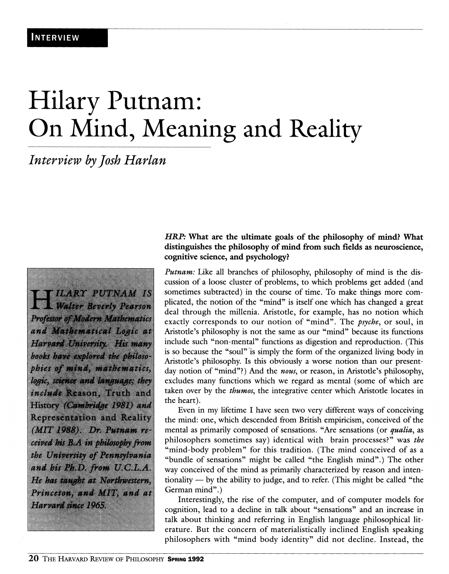# Hilary Putnam: On Mind, Meaning and Reality

# *Interview by Josh Harlan*

**ILARY PUTNAM IS** Walter Beverly Pearson Professor of Modern Mathematics and Muthematical Logic at Harvard University. His many books have explored the philosophies of mind, mathematics, logic, science and language; they include Reason, Truth and History (Cambridge 1981) and **Representation and Reality** (MIT 1988). Dr. Putnam received his B.A in philosophy from the University of Pennsylvania and his Ph.D. from U.C.L.A. He has taught at Northwestern, Princeton, and MIT, and at Harvard since 1965.

# *HRP:* **What are the ultimate goals of the philosophy of mind? What distinguishes the philosophy of mind from such fields as neuroscience, cognitive science, and psychology?**

*Putnam:* Like all branches of philosophy, philosophy of mind is the discussion of a loose cluster of problems, to which problems get added (and sometimes subtracted) in the course of time. To make things more complicated, the notion of the "mind" is itself one which has changed a great deal through the millenia. Aristotle, for example, has no notion which exactly corresponds to our notion of "mind". The *psyche,* or soul, in Aristode's philosophy is not the same as our "mind" because its functions include such "non-mental" functions as digestion and reproduction. (This is so because the "soul" is simply the form of the organized living body in Aristotle's philosophy. Is this obviously a worse notion than our presentday notion of "mind"?) And the nous, or reason, in Aristotle's philosophy, excludes many functions which we regard as mental (some of which are taken over by the *thumos,* the integrative center which Aristotle locates in the heart).

Even in my lifetime I have seen two very different ways of conceiving the mind: one, which descended from British empiricism, conceived of the mental as primarily composed of sensations. "Are sensations (or *qualia,* as philosophers sometimes say) identical with brain processes?" was the "mind-body problem" for this tradition. (The mind conceived of as a "bundle of sensations" might be called "the English mind".) The other way conceived of the mind as primarily characterized by reason and intentionality — by the ability to judge, and to refer. (This might be called "the German mind".)

Interestingly, the rise of the computer, and of computer models for cognition, lead to a decline in talk about "sensations" and an increase in talk about thinking and referring in English language philosophical literature. But the concern of materialistically inclined English speaking philosophers with "mind body identity" did not decline. Instead, the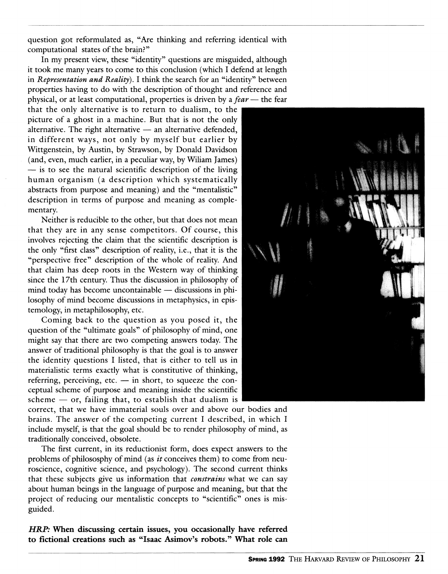question got reformulated as, "Are thinking and referring identical with computational states of the brain?"

In my present view, these "identity" questions are misguided, although it took me many years to come to this conclusion (which I defend at length in *Representation and Reality).* I think the search for an "identity" between properties having to do with the description of thought and reference and physical, or at least computational, properties is driven by a *fear* — the fear

that the only alternative is to return to dualism, to the picture of a ghost in a machine. But that is not the only alternative. The right alternative  $-$  an alternative defended, in different ways, not only by myself but earlier by Wittgenstein, by Austin, by Strawson, by Donald Davidson (and, even, much earlier, in a peculiar way, by Wiliam James) — is to see the natural scientific description of the living human organism (a description which systematically abstracts from purpose and meaning) and the "mentalistic" description in terms of purpose and meaning as complementary.

Neither is reducible to the other, but that does not mean that they are in any sense competitors. Of course, this involves rejecting the claim that the scientific description is the only "first class" description of reality, i.e., that it is the "perspective free" description of the whole of reality. And that claim has deep roots in the Western way of thinking since the 17th century. Thus the discussion in philosophy of mind today has become uncontainable — discussions in philosophy of mind become discussions in metaphysics, in epistemology, in metaphilosophy, etc.

Coming back to the question as you posed it, the question of the "ultimate goals" of philosophy of mind, one might say that there are two competing answers today. The answer of traditional philosophy is that the goal is to answer the identity questions I listed, that is either to tell us in materialistic terms exactly what is constitutive of thinking, referring, perceiving, etc.  $-$  in short, to squeeze the conceptual scheme of purpose and meaning inside the scientific scheme  $-$  or, failing that, to establish that dualism is

correct, that we have immaterial souls over and above our bodies and brains. The answer of the competing current I described, in which I include myself, is that the goal should be to render philosophy of mind, as traditionally conceived, obsolete.

The first current, in its reductionist form, does expect answers to the problems of philososphy of mind (as  $it$  conceives them) to come from neuroscience, cognitive science, and psychology). The second current thinks that these subjects give us information that *constrains* what we can say about human beings in the language of purpose and meaning, but that the project of reducing our mentalistic concepts to "scientific" ones is misguided.

*HRP:* **When discussing certain issues, you occasionally have referred to fictional creations such as "Isaac Asimov's robots." What role can** 

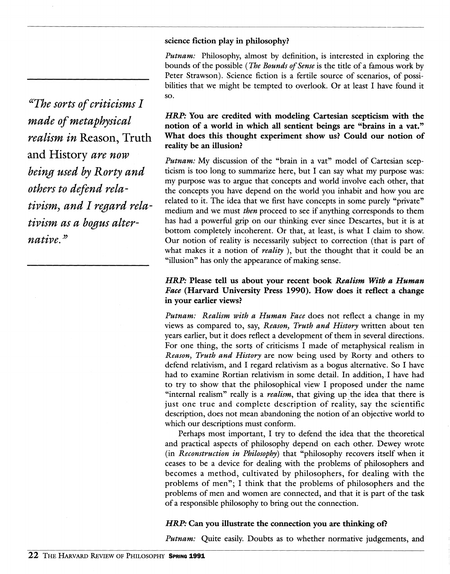#### **science fiction play in philosophy?**

*Putnam:* Philosophy, almost by definition, is interested in exploring the bounds of the possible (*The Bounds of Sense* is the title of a famous work by Peter Strawson). Science fiction is a fertile source of scenarios, of possibilities that we might be tempted to overlook. Or at least I have found it so.

*HRP:* **You are credited with modeling Cartesian scepticism with the notion of a world in which all sentient beings are "brains in a vat." What does this thought experiment show us? Could our notion of reality be an illusion?** 

*Putnam:* My discussion of the "brain in a vat" model of Cartesian scepticism is too long to summarize here, but I can say what my purpose was: my purpose was to argue that concepts and world involve each other, that the concepts you have depend on the world you inhabit and how you are related to it. The idea that we first have concepts in some purely "private" medium and we must *then* proceed to see if anything corresponds to them has had a powerful grip on our thinking ever since Descartes, but it is at bottom completely incoherent. Or that, at least, is what I claim to show. Our notion of reality is necessarily subject to correction (that is part of what makes it a notion of *reality* ), but the thought that it could be an "illusion" has only the appearance of making sense.

# *HRP:* **Please tell us about your recent book** *Realism With a Human Face* **(Harvard University Press 1990). How does it reflect a change in your earlier views?**

*Putnam: Realism with a Human Face* does not reflect a change in my views as compared to, say. *Reason^ Truth and History* written about ten years earlier, but it does reflect a development of them in several directions. For one thing, the sorts of criticisms I made of metaphysical realism in *Reason^ Truth and History* are now being used by Rorty and others to defend relativism, and I regard relativism as a bogus alternative. So I have had to examine Rortian relativism in some detail. In addition, I have had to try to show that the philosophical view I proposed under the name "internal realism" really is a *realism,* that giving up the idea that there is just one true and complete description of reality, say the scientific description, does not mean abandoning the notion of an objective world to which our descriptions must conform.

Perhaps most important, I try to defend the idea that the theoretical and practical aspects of philosophy depend on each other. Dewey wrote (in *Reconstruction in Philosophy)* that "philosophy recovers itself when it ceases to be a device for dealing with the problems of philosophers and becomes a method, cultivated by philosophers, for dealing with the problems of men"; I think that the problems of philosophers and the problems of men and women are connected, and that it is part of the task of a responsible philosophy to bring out the connection.

#### *HRP:* **Can you illustrate the connection you are thinking of?**

*Putnam:* Quite easily. Doubts as to whether normative judgements, and

*^^The sorts of criticisms I made of metaphysical realism in* Reason, Truth and History *are now heing used by Rorty and others to defend relativismy and I regard rela*tivism as a boaus alter*native.^^*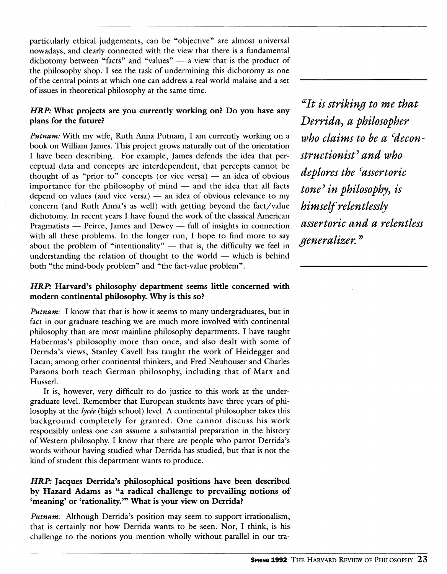particularly ethical judgements, can be "objective" are almost universal nowadays, and clearly connected with the view that there is a fundamental dichotomy between "facts" and "values" — a view that is the product of the philosophy shop. I see the task of undermining this dichotomy as one of the central points at which one can address a real world malaise and a set of issues in theoretical philosophy at the same time.

# *HRP*: What projects are you currently working on? Do you have any **plans for the future?**

*Putnam:* With my wife, Ruth Anna Putnam, I am currently working on a book on William James. This project grows naturally out of the orientation I have been describing. For example, James defends the idea that perceptual data and concepts are interdependent, that percepts cannot be thought of as "prior to" concepts (or vice versa)  $-$  an idea of obvious importance for the philosophy of mind — and the idea that all facts depend on values (and vice versa) — an idea of obvious relevance to my concern (and Ruth Anna's as well) with getting beyond the fact/value dichotomy. In recent years I have found the work of the classical American Pragmatists — Peirce, James and Dewey — full of insights in connection with all these problems. In the longer run, I hope to find more to say about the problem of "intentionality"  $-$  that is, the difficulty we feel in understanding the relation of thought to the world — which is behind both "the mind-body problem" and "the fact-value problem".

# *HRP:* **Harvard's philosophy department seems little concerned with modern continental philosophy. Why is this so?**

*Putnam:* I know that that is how it seems to many undergraduates, but in fact in our graduate teaching we are much more involved with continental philosophy than are most mainline philosophy departments. I have taught Habermas's philosophy more than once, and also dealt with some of Derrida's views, Stanley Cavell has taught the work of Heidegger and Lacan, among other continental thinkers, and Fred Neuhouser and Charles Parsons both teach German philosophy, including that of Marx and Husserl.

It is, however, very difficult to do justice to this work at the undergraduate level. Remember that European students have three years of philosophy at the lycée (high school) level. A continental philosopher takes this background completely for granted. One cannot discuss his work responsibly unless one can assume a substantial preparation in the history of Western philosophy. I know that there are people who parrot Derrida's words without having studied what Derrida has studied, but that is not the kind of student this department wants to produce.

# *HRP:* **Jacques Derrida's philosophical positions have been described by Hazard Adams as "a radical challenge to prevailing notions of 'meaning' or 'rationality.'" What is your view on Derrida?**

*Putnam:* Although Derrida's position may seem to support irrationalism, that is certainly not how Derrida wants to be seen. Nor, I think, is his challenge to the notions you mention wholly without parallel in our tra-

*^^It is striking to me that Derrida^ a philosopher who claims to be a ^deconstructionisf and who deplores the ^assertoric tone^ in philosophy^ is himself relentlessly assertoric and a relentless generalizer.^^*